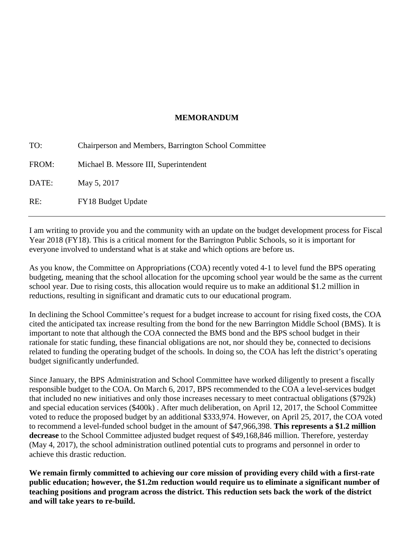#### **MEMORANDUM**

TO: Chairperson and Members, Barrington School Committee FROM: Michael B. Messore III, Superintendent DATE: May 5, 2017 RE: FY18 Budget Update

I am writing to provide you and the community with an update on the budget development process for Fiscal Year 2018 (FY18). This is a critical moment for the Barrington Public Schools, so it is important for everyone involved to understand what is at stake and which options are before us.

As you know, the Committee on Appropriations (COA) recently voted 4-1 to level fund the BPS operating budgeting, meaning that the school allocation for the upcoming school year would be the same as the current school year. Due to rising costs, this allocation would require us to make an additional \$1.2 million in reductions, resulting in significant and dramatic cuts to our educational program.

In declining the School Committee's request for a budget increase to account for rising fixed costs, the COA cited the anticipated tax increase resulting from the bond for the new Barrington Middle School (BMS). It is important to note that although the COA connected the BMS bond and the BPS school budget in their rationale for static funding, these financial obligations are not, nor should they be, connected to decisions related to funding the operating budget of the schools. In doing so, the COA has left the district's operating budget significantly underfunded.

Since January, the BPS Administration and School Committee have worked diligently to present a fiscally responsible budget to the COA. On March 6, 2017, BPS recommended to the COA a level-services budget that included no new initiatives and only those increases necessary to meet contractual obligations (\$792k) and special education services (\$400k) . After much deliberation, on April 12, 2017, the School Committee voted to reduce the proposed budget by an additional \$333,974. However, on April 25, 2017, the COA voted to recommend a level-funded school budget in the amount of \$47,966,398. **This represents a \$1.2 million decrease** to the School Committee adjusted budget request of \$49,168,846 million. Therefore, yesterday (May 4, 2017), the school administration outlined potential cuts to programs and personnel in order to achieve this drastic reduction.

**We remain firmly committed to achieving our core mission of providing every child with a first-rate public education; however, the \$1.2m reduction would require us to eliminate a significant number of teaching positions and program across the district. This reduction sets back the work of the district and will take years to re-build.**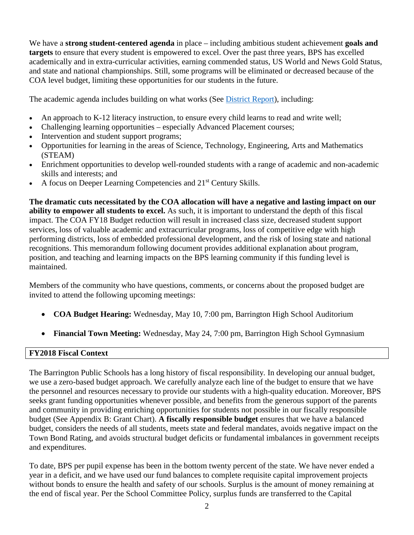We have a **strong student-centered agenda** in place – including ambitious student achievement **goals and targets** to ensure that every student is empowered to excel. Over the past three years, BPS has excelled academically and in extra-curricular activities, earning commended status, US World and News Gold Status, and state and national championships. Still, some programs will be eliminated or decreased because of the COA level budget, limiting these opportunities for our students in the future.

The academic agenda includes building on what works (See [District Report\)](http://bps.flipsnackedu.com/browse/fzc301cd), including:

- An approach to K-12 literacy instruction, to ensure every child learns to read and write well;
- Challenging learning opportunities especially Advanced Placement courses;
- Intervention and student support programs;
- Opportunities for learning in the areas of Science, Technology, Engineering, Arts and Mathematics (STEAM)
- Enrichment opportunities to develop well-rounded students with a range of academic and non-academic skills and interests; and
- A focus on Deeper Learning Competencies and 21<sup>st</sup> Century Skills.

**The dramatic cuts necessitated by the COA allocation will have a negative and lasting impact on our ability to empower all students to excel.** As such, it is important to understand the depth of this fiscal impact. The COA FY18 Budget reduction will result in increased class size, decreased student support services, loss of valuable academic and extracurricular programs, loss of competitive edge with high performing districts, loss of embedded professional development, and the risk of losing state and national recognitions. This memorandum following document provides additional explanation about program, position, and teaching and learning impacts on the BPS learning community if this funding level is maintained.

Members of the community who have questions, comments, or concerns about the proposed budget are invited to attend the following upcoming meetings:

- **COA Budget Hearing:** Wednesday, May 10, 7:00 pm, Barrington High School Auditorium
- **Financial Town Meeting:** Wednesday, May 24, 7:00 pm, Barrington High School Gymnasium

#### **FY2018 Fiscal Context**

The Barrington Public Schools has a long history of fiscal responsibility. In developing our annual budget, we use a zero-based budget approach. We carefully analyze each line of the budget to ensure that we have the personnel and resources necessary to provide our students with a high-quality education. Moreover, BPS seeks grant funding opportunities whenever possible, and benefits from the generous support of the parents and community in providing enriching opportunities for students not possible in our fiscally responsible budget (See Appendix B: Grant Chart). **A fiscally responsible budget** ensures that we have a balanced budget, considers the needs of all students, meets state and federal mandates, avoids negative impact on the Town Bond Rating, and avoids structural budget deficits or fundamental imbalances in government receipts and expenditures.

To date, BPS per pupil expense has been in the bottom twenty percent of the state. We have never ended a year in a deficit, and we have used our fund balances to complete requisite capital improvement projects without bonds to ensure the health and safety of our schools. Surplus is the amount of money remaining at the end of fiscal year. Per the School Committee Policy, surplus funds are transferred to the Capital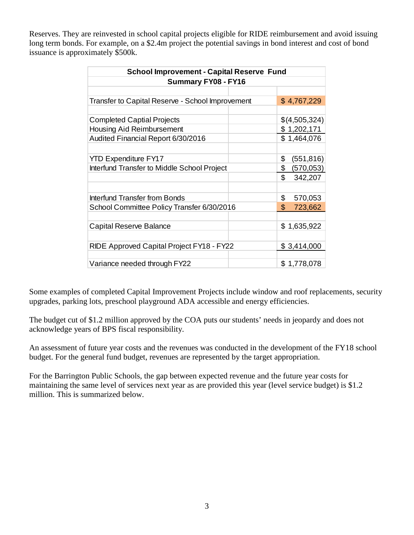Reserves. They are reinvested in school capital projects eligible for RIDE reimbursement and avoid issuing long term bonds. For example, on a \$2.4m project the potential savings in bond interest and cost of bond issuance is approximately \$500k.

| <b>School Improvement - Capital Reserve Fund</b> |  |                         |  |
|--------------------------------------------------|--|-------------------------|--|
| <b>Summary FY08 - FY16</b>                       |  |                         |  |
|                                                  |  |                         |  |
| Transfer to Capital Reserve - School Improvement |  | \$4,767,229             |  |
|                                                  |  |                         |  |
| <b>Completed Captial Projects</b>                |  | \$(4,505,324)           |  |
| Housing Aid Reimbursement                        |  | \$1,202,171             |  |
| Audited Financial Report 6/30/2016               |  | \$1,464,076             |  |
|                                                  |  |                         |  |
| <b>YTD Expenditure FY17</b>                      |  | \$<br>(551, 816)        |  |
| Interfund Transfer to Middle School Project      |  | \$<br>(570,053)         |  |
|                                                  |  | \$<br>342,207           |  |
|                                                  |  |                         |  |
| Interfund Transfer from Bonds                    |  | \$<br>570,053           |  |
| School Committee Policy Transfer 6/30/2016       |  | $\mathbb{S}$<br>723,662 |  |
|                                                  |  |                         |  |
| Capital Reserve Balance                          |  | \$1,635,922             |  |
|                                                  |  |                         |  |
| RIDE Approved Capital Project FY18 - FY22        |  | \$3,414,000             |  |
|                                                  |  |                         |  |
| Variance needed through FY22                     |  | \$1,778,078             |  |

Some examples of completed Capital Improvement Projects include window and roof replacements, security upgrades, parking lots, preschool playground ADA accessible and energy efficiencies.

The budget cut of \$1.2 million approved by the COA puts our students' needs in jeopardy and does not acknowledge years of BPS fiscal responsibility.

An assessment of future year costs and the revenues was conducted in the development of the FY18 school budget. For the general fund budget, revenues are represented by the target appropriation.

For the Barrington Public Schools, the gap between expected revenue and the future year costs for maintaining the same level of services next year as are provided this year (level service budget) is \$1.2 million. This is summarized below.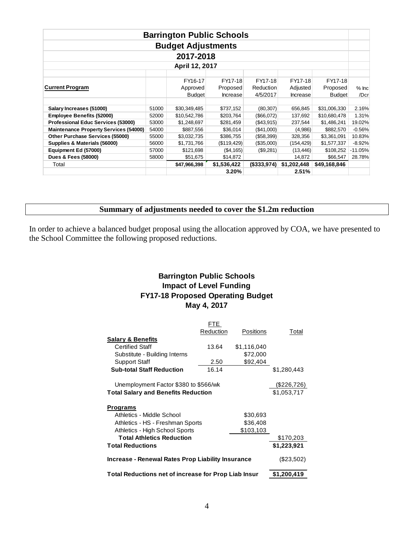| <b>Barrington Public Schools</b>             |       |                           |                 |              |                 |               |           |
|----------------------------------------------|-------|---------------------------|-----------------|--------------|-----------------|---------------|-----------|
|                                              |       | <b>Budget Adjustments</b> |                 |              |                 |               |           |
| 2017-2018                                    |       |                           |                 |              |                 |               |           |
| April 12, 2017                               |       |                           |                 |              |                 |               |           |
|                                              |       |                           |                 |              |                 |               |           |
|                                              |       | FY16-17                   | FY17-18         | FY17-18      | FY17-18         | FY17-18       |           |
| <b>Current Program</b>                       |       | Approved                  | Proposed        | Reduction    | Adjusted        | Proposed      | $%$ Inc   |
|                                              |       | <b>Budget</b>             | <b>Increase</b> | 4/5/2017     | <b>Increase</b> | <b>Budget</b> | /Dcr      |
|                                              |       |                           |                 |              |                 |               |           |
| Salary Increases (51000)                     | 51000 | \$30,349,485              | \$737,152       | (80, 307)    | 656,845         | \$31,006,330  | 2.16%     |
| <b>Employee Benefits (52000)</b>             | 52000 | \$10,542,786              | \$203,764       | (S66,072)    | 137,692         | \$10,680,478  | 1.31%     |
| <b>Professional Educ Services (53000)</b>    | 53000 | \$1,248,697               | \$281,459       | ( \$43, 915) | 237,544         | \$1,486,241   | 19.02%    |
| <b>Maintenance Property Services (54000)</b> | 54000 | \$887,556                 | \$36,014        | (S41,000)    | (4,986)         | \$882,570     | $-0.56%$  |
| Other Purchase Services (55000)              | 55000 | \$3,032,735               | \$386,755       | (\$58,399)   | 328,356         | \$3,361,091   | 10.83%    |
| Supplies & Materials (56000)                 | 56000 | \$1,731,766               | (\$119, 429)    | (\$35,000)   | (154, 429)      | \$1,577,337   | $-8.92%$  |
| Equipment Ed (57000)                         | 57000 | \$121,698                 | ( \$4,165)      | (\$9,281)    | (13, 446)       | \$108,252     | $-11.05%$ |
| Dues & Fees (58000)                          | 58000 | \$51,675                  | \$14,872        |              | 14,872          | \$66,547      | 28.78%    |
| Total                                        |       | \$47,966,398              | \$1,536,422     | (S333, 974)  | \$1,202,448     | \$49,168,846  |           |
|                                              |       |                           | 3.20%           |              | 2.51%           |               |           |

### **Summary of adjustments needed to cover the \$1.2m reduction**

In order to achieve a balanced budget proposal using the allocation approved by COA, we have presented to the School Committee the following proposed reductions.

## **Barrington Public Schools Impact of Level Funding FY17-18 Proposed Operating Budget May 4, 2017**

|                                                      | FTE.         |             |             |
|------------------------------------------------------|--------------|-------------|-------------|
|                                                      | Reduction    | Positions   | Total       |
| <b>Salary &amp; Benefits</b>                         |              |             |             |
| Certified Staff                                      | 13.64        | \$1,116,040 |             |
| Substitute - Building Interns                        |              | \$72,000    |             |
| <b>Support Staff</b>                                 | 2.50         | \$92,404    |             |
| <b>Sub-total Staff Reduction</b>                     | 16.14        |             | \$1,280,443 |
| Unemployment Factor \$380 to \$566/wk                |              |             | (\$226,726) |
| <b>Total Salary and Benefits Reduction</b>           | \$1,053,717  |             |             |
| Programs                                             |              |             |             |
| Athletics - Middle School                            |              | \$30,693    |             |
| Athletics - HS - Freshman Sports                     |              | \$36,408    |             |
| Athletics - High School Sports                       |              | \$103,103   |             |
| <b>Total Athletics Reduction</b>                     |              |             | \$170,203   |
| <b>Total Reductions</b>                              | \$1,223,921  |             |             |
| Increase - Renewal Rates Prop Liability Insurance    | $(\$23,502)$ |             |             |
| Total Reductions net of increase for Prop Liab Insur | \$1,200,419  |             |             |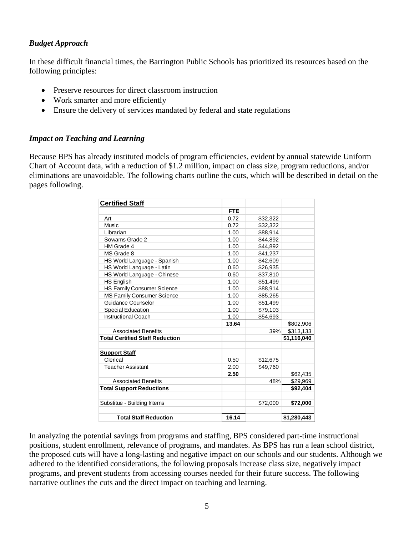#### *Budget Approach*

In these difficult financial times, the Barrington Public Schools has prioritized its resources based on the following principles:

- Preserve resources for direct classroom instruction
- Work smarter and more efficiently
- Ensure the delivery of services mandated by federal and state regulations

#### *Impact on Teaching and Learning*

Because BPS has already instituted models of program efficiencies, evident by annual statewide Uniform Chart of Account data, with a reduction of \$1.2 million, impact on class size, program reductions, and/or eliminations are unavoidable. The following charts outline the cuts, which will be described in detail on the pages following.

| <b>Certified Staff</b>                 |            |          |             |
|----------------------------------------|------------|----------|-------------|
|                                        | <b>FTE</b> |          |             |
| Art                                    | 0.72       | \$32,322 |             |
| Music                                  | 0.72       | \$32,322 |             |
| Librarian                              | 1.00       | \$88,914 |             |
| Sowams Grade 2                         | 1.00       | \$44,892 |             |
| HM Grade 4                             | 1.00       | \$44,892 |             |
| MS Grade 8                             | 1.00       | \$41,237 |             |
| HS World Language - Spanish            | 1.00       | \$42,609 |             |
| HS World Language - Latin              | 0.60       | \$26,935 |             |
| HS World Language - Chinese            | 0.60       | \$37,810 |             |
| <b>HS English</b>                      | 1.00       | \$51,499 |             |
| <b>HS Family Consumer Science</b>      | 1.00       | \$88,914 |             |
| <b>MS Family Consumer Science</b>      | 1.00       | \$85,265 |             |
| Guidance Counselor                     | 1.00       | \$51,499 |             |
| <b>Special Education</b>               | 1.00       | \$79,103 |             |
| <b>Instructional Coach</b>             | 1.00       | \$54,693 |             |
|                                        | 13.64      |          | \$802,906   |
| <b>Associated Benefits</b>             |            | 39%      | \$313,133   |
| <b>Total Certified Staff Reduction</b> |            |          | \$1,116,040 |
| <b>Support Staff</b>                   |            |          |             |
| Clerical                               | 0.50       | \$12,675 |             |
| <b>Teacher Assistant</b>               | 2.00       | \$49,760 |             |
|                                        | 2.50       |          | \$62,435    |
| <b>Associated Benefits</b>             |            | 48%      | \$29,969    |
| <b>Total Support Reductions</b>        |            |          | \$92,404    |
| Substitue - Building Interns           |            | \$72,000 | \$72,000    |
|                                        |            |          |             |
| <b>Total Staff Reduction</b>           | 16.14      |          | \$1,280,443 |

In analyzing the potential savings from programs and staffing, BPS considered part-time instructional positions, student enrollment, relevance of programs, and mandates. As BPS has run a lean school district, the proposed cuts will have a long-lasting and negative impact on our schools and our students. Although we adhered to the identified considerations, the following proposals increase class size, negatively impact programs, and prevent students from accessing courses needed for their future success. The following narrative outlines the cuts and the direct impact on teaching and learning.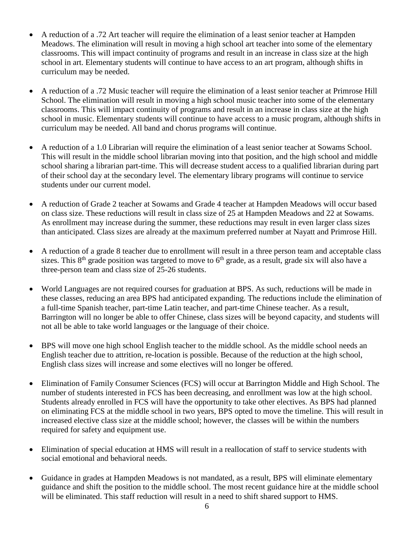- A reduction of a .72 Art teacher will require the elimination of a least senior teacher at Hampden Meadows. The elimination will result in moving a high school art teacher into some of the elementary classrooms. This will impact continuity of programs and result in an increase in class size at the high school in art. Elementary students will continue to have access to an art program, although shifts in curriculum may be needed.
- A reduction of a .72 Music teacher will require the elimination of a least senior teacher at Primrose Hill School. The elimination will result in moving a high school music teacher into some of the elementary classrooms. This will impact continuity of programs and result in an increase in class size at the high school in music. Elementary students will continue to have access to a music program, although shifts in curriculum may be needed. All band and chorus programs will continue.
- A reduction of a 1.0 Librarian will require the elimination of a least senior teacher at Sowams School. This will result in the middle school librarian moving into that position, and the high school and middle school sharing a librarian part-time. This will decrease student access to a qualified librarian during part of their school day at the secondary level. The elementary library programs will continue to service students under our current model.
- A reduction of Grade 2 teacher at Sowams and Grade 4 teacher at Hampden Meadows will occur based on class size. These reductions will result in class size of 25 at Hampden Meadows and 22 at Sowams. As enrollment may increase during the summer, these reductions may result in even larger class sizes than anticipated. Class sizes are already at the maximum preferred number at Nayatt and Primrose Hill.
- A reduction of a grade 8 teacher due to enrollment will result in a three person team and acceptable class sizes. This  $8<sup>th</sup>$  grade position was targeted to move to  $6<sup>th</sup>$  grade, as a result, grade six will also have a three-person team and class size of 25-26 students.
- World Languages are not required courses for graduation at BPS. As such, reductions will be made in these classes, reducing an area BPS had anticipated expanding. The reductions include the elimination of a full-time Spanish teacher, part-time Latin teacher, and part-time Chinese teacher. As a result, Barrington will no longer be able to offer Chinese, class sizes will be beyond capacity, and students will not all be able to take world languages or the language of their choice.
- BPS will move one high school English teacher to the middle school. As the middle school needs an English teacher due to attrition, re-location is possible. Because of the reduction at the high school, English class sizes will increase and some electives will no longer be offered.
- Elimination of Family Consumer Sciences (FCS) will occur at Barrington Middle and High School. The number of students interested in FCS has been decreasing, and enrollment was low at the high school. Students already enrolled in FCS will have the opportunity to take other electives. As BPS had planned on eliminating FCS at the middle school in two years, BPS opted to move the timeline. This will result in increased elective class size at the middle school; however, the classes will be within the numbers required for safety and equipment use.
- Elimination of special education at HMS will result in a reallocation of staff to service students with social emotional and behavioral needs.
- Guidance in grades at Hampden Meadows is not mandated, as a result, BPS will eliminate elementary guidance and shift the position to the middle school. The most recent guidance hire at the middle school will be eliminated. This staff reduction will result in a need to shift shared support to HMS.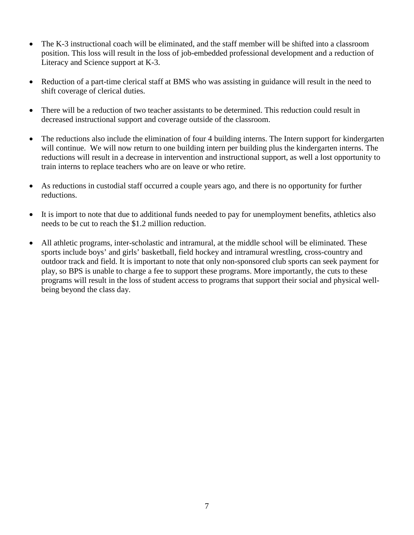- The K-3 instructional coach will be eliminated, and the staff member will be shifted into a classroom position. This loss will result in the loss of job-embedded professional development and a reduction of Literacy and Science support at K-3.
- Reduction of a part-time clerical staff at BMS who was assisting in guidance will result in the need to shift coverage of clerical duties.
- There will be a reduction of two teacher assistants to be determined. This reduction could result in decreased instructional support and coverage outside of the classroom.
- The reductions also include the elimination of four 4 building interns. The Intern support for kindergarten will continue. We will now return to one building intern per building plus the kindergarten interns. The reductions will result in a decrease in intervention and instructional support, as well a lost opportunity to train interns to replace teachers who are on leave or who retire.
- As reductions in custodial staff occurred a couple years ago, and there is no opportunity for further reductions.
- It is import to note that due to additional funds needed to pay for unemployment benefits, athletics also needs to be cut to reach the \$1.2 million reduction.
- All athletic programs, inter-scholastic and intramural, at the middle school will be eliminated. These sports include boys' and girls' basketball, field hockey and intramural wrestling, cross-country and outdoor track and field. It is important to note that only non-sponsored club sports can seek payment for play, so BPS is unable to charge a fee to support these programs. More importantly, the cuts to these programs will result in the loss of student access to programs that support their social and physical wellbeing beyond the class day.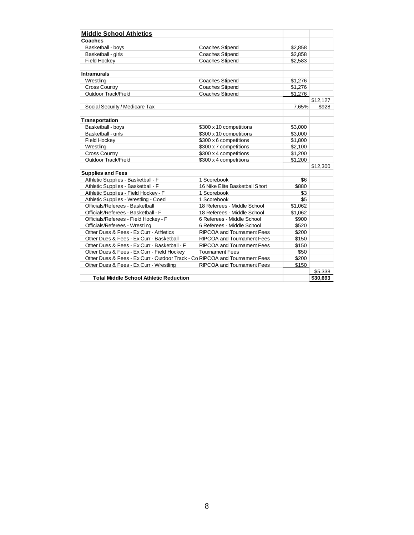| <b>Middle School Athletics</b>                                              |                                   |         |          |
|-----------------------------------------------------------------------------|-----------------------------------|---------|----------|
| Coaches                                                                     |                                   |         |          |
| Basketball - boys                                                           | <b>Coaches Stipend</b>            | \$2,858 |          |
| Basketball - girls                                                          | <b>Coaches Stipend</b>            | \$2,858 |          |
| <b>Field Hockey</b>                                                         | <b>Coaches Stipend</b>            | \$2,583 |          |
|                                                                             |                                   |         |          |
| <b>Intramurals</b>                                                          |                                   |         |          |
| Wrestling                                                                   | <b>Coaches Stipend</b>            | \$1,276 |          |
| <b>Cross Country</b>                                                        | <b>Coaches Stipend</b>            | \$1,276 |          |
| Outdoor Track/Field                                                         | <b>Coaches Stipend</b>            | \$1,276 |          |
|                                                                             |                                   |         | \$12,127 |
| Social Security / Medicare Tax                                              |                                   | 7.65%   | \$928    |
|                                                                             |                                   |         |          |
| <b>Transportation</b>                                                       |                                   |         |          |
| Basketball - boys                                                           | \$300 x 10 competitions           | \$3,000 |          |
| Basketball - girls                                                          | \$300 x 10 competitions           | \$3,000 |          |
| <b>Field Hockey</b>                                                         | \$300 x 6 competitions            | \$1,800 |          |
| Wrestling                                                                   | \$300 x 7 competitions            | \$2,100 |          |
| <b>Cross Country</b>                                                        | \$300 x 4 competitions            | \$1,200 |          |
| <b>Outdoor Track/Field</b>                                                  | \$300 x 4 competitions            | \$1,200 |          |
|                                                                             |                                   |         | \$12,300 |
| <b>Supplies and Fees</b>                                                    |                                   |         |          |
| Athletic Supplies - Basketball - F                                          | 1 Scorebook                       | \$6     |          |
| Athletic Supplies - Basketball - F                                          | 16 Nike Elite Basketball Short    | \$880   |          |
| Athletic Supplies - Field Hockey - F                                        | 1 Scorebook                       | \$3     |          |
| Athletic Supplies - Wrestling - Coed                                        | 1 Scorebook                       | \$5     |          |
| Officials/Referees - Basketball                                             | 18 Referees - Middle School       | \$1,062 |          |
| Officials/Referees - Basketball - F                                         | 18 Referees - Middle School       | \$1,062 |          |
| Officials/Referees - Field Hockey - F                                       | 6 Referees - Middle School        | \$900   |          |
| Officials/Referees - Wrestling                                              | 6 Referees - Middle School        | \$520   |          |
| Other Dues & Fees - Ex Curr - Athletics                                     | <b>RIPCOA and Tournament Fees</b> | \$200   |          |
| Other Dues & Fees - Ex Curr - Basketball                                    | <b>RIPCOA and Tournament Fees</b> | \$150   |          |
| Other Dues & Fees - Ex Curr - Basketball - F                                | <b>RIPCOA and Tournament Fees</b> | \$150   |          |
| Other Dues & Fees - Ex Curr - Field Hockey                                  | <b>Tournament Fees</b>            | \$50    |          |
| Other Dues & Fees - Ex Curr - Outdoor Track - Co RIPCOA and Tournament Fees |                                   | \$200   |          |
| Other Dues & Fees - Ex Curr - Wrestling                                     | <b>RIPCOA and Tournament Fees</b> | \$150   |          |
|                                                                             |                                   |         | \$5,338  |
| <b>Total Middle School Athletic Reduction</b>                               |                                   |         | \$30,693 |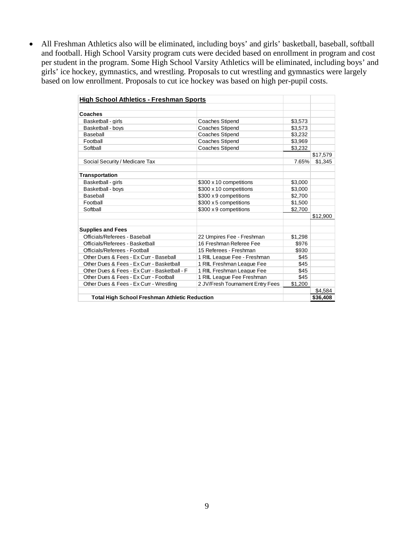• All Freshman Athletics also will be eliminated, including boys' and girls' basketball, baseball, softball and football. High School Varsity program cuts were decided based on enrollment in program and cost per student in the program. Some High School Varsity Athletics will be eliminated, including boys' and girls' ice hockey, gymnastics, and wrestling. Proposals to cut wrestling and gymnastics were largely based on low enrollment. Proposals to cut ice hockey was based on high per-pupil costs.

| <b>High School Athletics - Freshman Sports</b>       |                                  |         |          |
|------------------------------------------------------|----------------------------------|---------|----------|
|                                                      |                                  |         |          |
| Coaches                                              |                                  |         |          |
| Basketball - girls                                   | <b>Coaches Stipend</b>           | \$3,573 |          |
| Basketball - bovs                                    | <b>Coaches Stipend</b>           | \$3,573 |          |
| Baseball                                             | <b>Coaches Stipend</b>           | \$3,232 |          |
| Football                                             | <b>Coaches Stipend</b>           | \$3,969 |          |
| Softball                                             | <b>Coaches Stipend</b>           | \$3,232 |          |
|                                                      |                                  |         | \$17,579 |
| Social Security / Medicare Tax                       |                                  | 7.65%   | \$1,345  |
| <b>Transportation</b>                                |                                  |         |          |
| Basketball - girls                                   | \$300 x 10 competitions          | \$3,000 |          |
| Basketball - boys                                    | \$300 x 10 competitions          | \$3,000 |          |
| Baseball                                             | \$300 x 9 competitions           | \$2,700 |          |
| Football                                             | \$300 x 5 competitions           | \$1,500 |          |
| Softball                                             | \$300 x 9 competitions           | \$2,700 |          |
|                                                      |                                  |         | \$12,900 |
| <b>Supplies and Fees</b>                             |                                  |         |          |
| Officials/Referees - Baseball                        | 22 Umpires Fee - Freshman        | \$1,298 |          |
| Officials/Referees - Basketball                      | 16 Freshman Referee Fee          | \$976   |          |
| Officials/Referees - Football                        | 15 Referees - Freshman           | \$930   |          |
| Other Dues & Fees - Ex Curr - Baseball               | 1 RIIL League Fee - Freshman     | \$45    |          |
| Other Dues & Fees - Ex Curr - Basketball             | 1 RIIL Freshman League Fee       | \$45    |          |
| Other Dues & Fees - Ex Curr - Basketball - F         | 1 RIIL Freshman League Fee       | \$45    |          |
| Other Dues & Fees - Ex Curr - Football               | 1 RIIL League Fee Freshman       | \$45    |          |
| Other Dues & Fees - Ex Curr - Wrestling              | 2 JV/Fresh Tournament Entry Fees | \$1,200 |          |
|                                                      |                                  |         | \$4,584  |
| <b>Total High School Freshman Athletic Reduction</b> |                                  |         | \$36,408 |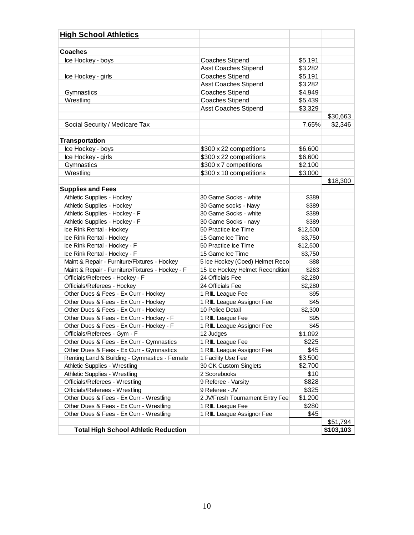| <b>High School Athletics</b>                     |                                  |          |           |
|--------------------------------------------------|----------------------------------|----------|-----------|
| <b>Coaches</b>                                   |                                  |          |           |
| Ice Hockey - boys                                | <b>Coaches Stipend</b>           | \$5,191  |           |
|                                                  | <b>Asst Coaches Stipend</b>      | \$3,282  |           |
| Ice Hockey - girls                               | <b>Coaches Stipend</b>           | \$5,191  |           |
|                                                  | <b>Asst Coaches Stipend</b>      | \$3,282  |           |
| Gymnastics                                       | <b>Coaches Stipend</b>           | \$4,949  |           |
| Wrestling                                        | <b>Coaches Stipend</b>           | \$5,439  |           |
|                                                  | <b>Asst Coaches Stipend</b>      | \$3,329  |           |
|                                                  |                                  |          | \$30,663  |
| Social Security / Medicare Tax                   |                                  | 7.65%    | \$2,346   |
|                                                  |                                  |          |           |
| <b>Transportation</b>                            |                                  |          |           |
| Ice Hockey - boys                                | \$300 x 22 competitions          | \$6,600  |           |
| Ice Hockey - girls                               | \$300 x 22 competitions          | \$6,600  |           |
| Gymnastics                                       | \$300 x 7 competitions           | \$2,100  |           |
| Wrestling                                        | \$300 x 10 competitions          | \$3,000  |           |
|                                                  |                                  |          | \$18,300  |
| <b>Supplies and Fees</b>                         |                                  |          |           |
| Athletic Supplies - Hockey                       | 30 Game Socks - white            | \$389    |           |
| Athletic Supplies - Hockey                       | 30 Game socks - Navy             | \$389    |           |
| Athletic Supplies - Hockey - F                   | 30 Game Socks - white            | \$389    |           |
| Athletic Supplies - Hockey - F                   | 30 Game Socks - navy             | \$389    |           |
| Ice Rink Rental - Hockey                         | 50 Practice Ice Time             | \$12,500 |           |
| Ice Rink Rental - Hockey                         | 15 Game Ice Time                 | \$3,750  |           |
| Ice Rink Rental - Hockey - F                     | 50 Practice Ice Time             | \$12,500 |           |
| Ice Rink Rental - Hockey - F                     | 15 Game Ice Time                 | \$3,750  |           |
| Maint & Repair - Furniture/Fixtures - Hockey     | 5 Ice Hockey (Coed) Helmet Reco  | \$88     |           |
| Maint & Repair - Furniture/Fixtures - Hockey - F | 15 Ice Hockey Helmet Recondition | \$263    |           |
| Officials/Referees - Hockey - F                  | 24 Officials Fee                 | \$2,280  |           |
| Officials/Referees - Hockey                      | 24 Officials Fee                 | \$2,280  |           |
| Other Dues & Fees - Ex Curr - Hockey             | 1 RIIL League Fee                | \$95     |           |
| Other Dues & Fees - Ex Curr - Hockey             | 1 RIIL League Assignor Fee       | \$45     |           |
| Other Dues & Fees - Ex Curr - Hockey             | 10 Police Detail                 | \$2,300  |           |
| Other Dues & Fees - Ex Curr - Hockey - F         | 1 RIIL League Fee                | \$95     |           |
| Other Dues & Fees - Ex Curr - Hockey - F         | 1 RIIL League Assignor Fee       | \$45     |           |
| Officials/Referees - Gym - F                     | 12 Judges                        | \$1,092  |           |
| Other Dues & Fees - Ex Curr - Gymnastics         | 1 RIIL League Fee                | \$225    |           |
| Other Dues & Fees - Ex Curr - Gymnastics         | 1 RIIL League Assignor Fee       | \$45     |           |
| Renting Land & Building - Gymnastics - Female    | 1 Facility Use Fee               | \$3,500  |           |
| Athletic Supplies - Wrestling                    | 30 CK Custom Singlets            | \$2,700  |           |
| Athletic Supplies - Wrestling                    | 2 Scorebooks                     | \$10     |           |
| Officials/Referees - Wrestling                   | 9 Referee - Varsity              | \$828    |           |
| Officials/Referees - Wrestling                   | 9 Referee - JV                   | \$325    |           |
| Other Dues & Fees - Ex Curr - Wrestling          | 2 JV/Fresh Tournament Entry Fee  | \$1,200  |           |
| Other Dues & Fees - Ex Curr - Wrestling          | 1 RIIL League Fee                | \$280    |           |
| Other Dues & Fees - Ex Curr - Wrestling          | 1 RIIL League Assignor Fee       | \$45     |           |
|                                                  |                                  |          | \$51,794  |
| <b>Total High School Athletic Reduction</b>      |                                  |          | \$103,103 |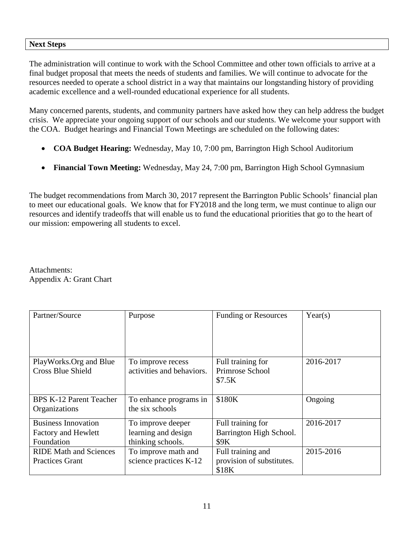#### **Next Steps**

The administration will continue to work with the School Committee and other town officials to arrive at a final budget proposal that meets the needs of students and families. We will continue to advocate for the resources needed to operate a school district in a way that maintains our longstanding history of providing academic excellence and a well-rounded educational experience for all students.

Many concerned parents, students, and community partners have asked how they can help address the budget crisis. We appreciate your ongoing support of our schools and our students. We welcome your support with the COA. Budget hearings and Financial Town Meetings are scheduled on the following dates:

- **COA Budget Hearing:** Wednesday, May 10, 7:00 pm, Barrington High School Auditorium
- **Financial Town Meeting:** Wednesday, May 24, 7:00 pm, Barrington High School Gymnasium

The budget recommendations from March 30, 2017 represent the Barrington Public Schools' financial plan to meet our educational goals. We know that for FY2018 and the long term, we must continue to align our resources and identify tradeoffs that will enable us to fund the educational priorities that go to the heart of our mission: empowering all students to excel.

Attachments: Appendix A: Grant Chart

| Partner/Source                 | Purpose                   | <b>Funding or Resources</b> | Year(s)   |
|--------------------------------|---------------------------|-----------------------------|-----------|
|                                |                           |                             |           |
| PlayWorks.Org and Blue         | To improve recess         | Full training for           | 2016-2017 |
| <b>Cross Blue Shield</b>       | activities and behaviors. | Primrose School             |           |
|                                |                           | \$7.5K                      |           |
|                                |                           |                             |           |
| <b>BPS K-12 Parent Teacher</b> | To enhance programs in    | \$180K                      | Ongoing   |
| Organizations                  | the six schools           |                             |           |
| <b>Business Innovation</b>     | To improve deeper         | Full training for           | 2016-2017 |
| <b>Factory and Hewlett</b>     | learning and design       | Barrington High School.     |           |
| Foundation                     | thinking schools.         | <b>\$9K</b>                 |           |
| <b>RIDE Math and Sciences</b>  | To improve math and       | Full training and           | 2015-2016 |
| <b>Practices Grant</b>         | science practices K-12    | provision of substitutes.   |           |
|                                |                           | \$18K                       |           |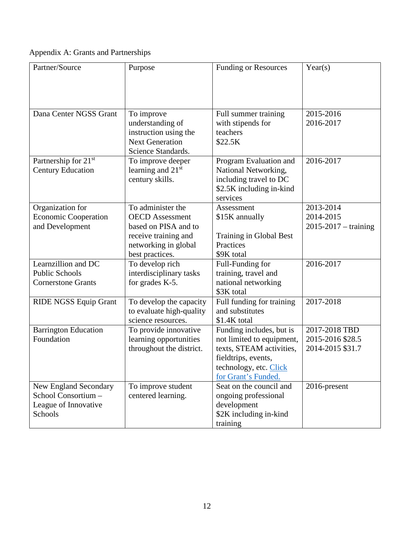Appendix A: Grants and Partnerships

| Dana Center NGSS Grant<br>Full summer training<br>2015-2016<br>To improve<br>understanding of<br>with stipends for<br>2016-2017<br>instruction using the<br>teachers<br><b>Next Generation</b><br>\$22.5K<br>Science Standards.<br>Partnership for 21 <sup>st</sup><br>2016-2017<br>To improve deeper<br>Program Evaluation and<br>learning and 21 <sup>st</sup><br><b>Century Education</b><br>National Networking,<br>century skills.<br>including travel to DC<br>\$2.5K including in-kind<br>services<br>To administer the<br>Organization for<br>2013-2014<br>Assessment<br><b>Economic Cooperation</b><br>2014-2015<br><b>OECD</b> Assessment<br>\$15K annually<br>and Development<br>$2015 - 2017 - training$<br>based on PISA and to<br>receive training and<br>Training in Global Best<br>Practices<br>networking in global<br>\$9K total<br>best practices.<br>Learnzillion and DC<br>2016-2017<br>To develop rich<br>Full-Funding for | Partner/Source        | Purpose                 | <b>Funding or Resources</b> | Year(s) |
|--------------------------------------------------------------------------------------------------------------------------------------------------------------------------------------------------------------------------------------------------------------------------------------------------------------------------------------------------------------------------------------------------------------------------------------------------------------------------------------------------------------------------------------------------------------------------------------------------------------------------------------------------------------------------------------------------------------------------------------------------------------------------------------------------------------------------------------------------------------------------------------------------------------------------------------------------|-----------------------|-------------------------|-----------------------------|---------|
|                                                                                                                                                                                                                                                                                                                                                                                                                                                                                                                                                                                                                                                                                                                                                                                                                                                                                                                                                  |                       |                         |                             |         |
|                                                                                                                                                                                                                                                                                                                                                                                                                                                                                                                                                                                                                                                                                                                                                                                                                                                                                                                                                  |                       |                         |                             |         |
|                                                                                                                                                                                                                                                                                                                                                                                                                                                                                                                                                                                                                                                                                                                                                                                                                                                                                                                                                  |                       |                         |                             |         |
|                                                                                                                                                                                                                                                                                                                                                                                                                                                                                                                                                                                                                                                                                                                                                                                                                                                                                                                                                  |                       |                         |                             |         |
|                                                                                                                                                                                                                                                                                                                                                                                                                                                                                                                                                                                                                                                                                                                                                                                                                                                                                                                                                  |                       |                         |                             |         |
|                                                                                                                                                                                                                                                                                                                                                                                                                                                                                                                                                                                                                                                                                                                                                                                                                                                                                                                                                  |                       |                         |                             |         |
|                                                                                                                                                                                                                                                                                                                                                                                                                                                                                                                                                                                                                                                                                                                                                                                                                                                                                                                                                  |                       |                         |                             |         |
|                                                                                                                                                                                                                                                                                                                                                                                                                                                                                                                                                                                                                                                                                                                                                                                                                                                                                                                                                  |                       |                         |                             |         |
|                                                                                                                                                                                                                                                                                                                                                                                                                                                                                                                                                                                                                                                                                                                                                                                                                                                                                                                                                  |                       |                         |                             |         |
|                                                                                                                                                                                                                                                                                                                                                                                                                                                                                                                                                                                                                                                                                                                                                                                                                                                                                                                                                  |                       |                         |                             |         |
|                                                                                                                                                                                                                                                                                                                                                                                                                                                                                                                                                                                                                                                                                                                                                                                                                                                                                                                                                  |                       |                         |                             |         |
|                                                                                                                                                                                                                                                                                                                                                                                                                                                                                                                                                                                                                                                                                                                                                                                                                                                                                                                                                  |                       |                         |                             |         |
|                                                                                                                                                                                                                                                                                                                                                                                                                                                                                                                                                                                                                                                                                                                                                                                                                                                                                                                                                  |                       |                         |                             |         |
|                                                                                                                                                                                                                                                                                                                                                                                                                                                                                                                                                                                                                                                                                                                                                                                                                                                                                                                                                  |                       |                         |                             |         |
|                                                                                                                                                                                                                                                                                                                                                                                                                                                                                                                                                                                                                                                                                                                                                                                                                                                                                                                                                  |                       |                         |                             |         |
|                                                                                                                                                                                                                                                                                                                                                                                                                                                                                                                                                                                                                                                                                                                                                                                                                                                                                                                                                  |                       |                         |                             |         |
|                                                                                                                                                                                                                                                                                                                                                                                                                                                                                                                                                                                                                                                                                                                                                                                                                                                                                                                                                  | <b>Public Schools</b> | interdisciplinary tasks | training, travel and        |         |
| for grades K-5.<br>national networking<br><b>Cornerstone Grants</b>                                                                                                                                                                                                                                                                                                                                                                                                                                                                                                                                                                                                                                                                                                                                                                                                                                                                              |                       |                         |                             |         |
| \$3K total                                                                                                                                                                                                                                                                                                                                                                                                                                                                                                                                                                                                                                                                                                                                                                                                                                                                                                                                       |                       |                         |                             |         |
| 2017-2018<br>Full funding for training<br><b>RIDE NGSS Equip Grant</b><br>To develop the capacity                                                                                                                                                                                                                                                                                                                                                                                                                                                                                                                                                                                                                                                                                                                                                                                                                                                |                       |                         |                             |         |
| to evaluate high-quality<br>and substitutes                                                                                                                                                                                                                                                                                                                                                                                                                                                                                                                                                                                                                                                                                                                                                                                                                                                                                                      |                       |                         |                             |         |
| \$1.4K total<br>science resources.                                                                                                                                                                                                                                                                                                                                                                                                                                                                                                                                                                                                                                                                                                                                                                                                                                                                                                               |                       |                         |                             |         |
| <b>Barrington Education</b><br>2017-2018 TBD<br>To provide innovative<br>Funding includes, but is<br>Foundation<br>2015-2016 \$28.5                                                                                                                                                                                                                                                                                                                                                                                                                                                                                                                                                                                                                                                                                                                                                                                                              |                       |                         |                             |         |
| learning opportunities<br>not limited to equipment,<br>throughout the district.<br>texts, STEAM activities,<br>2014-2015 \$31.7                                                                                                                                                                                                                                                                                                                                                                                                                                                                                                                                                                                                                                                                                                                                                                                                                  |                       |                         |                             |         |
| fieldtrips, events,                                                                                                                                                                                                                                                                                                                                                                                                                                                                                                                                                                                                                                                                                                                                                                                                                                                                                                                              |                       |                         |                             |         |
| technology, etc. Click                                                                                                                                                                                                                                                                                                                                                                                                                                                                                                                                                                                                                                                                                                                                                                                                                                                                                                                           |                       |                         |                             |         |
| for Grant's Funded.                                                                                                                                                                                                                                                                                                                                                                                                                                                                                                                                                                                                                                                                                                                                                                                                                                                                                                                              |                       |                         |                             |         |
| Seat on the council and<br>New England Secondary<br>To improve student<br>2016-present                                                                                                                                                                                                                                                                                                                                                                                                                                                                                                                                                                                                                                                                                                                                                                                                                                                           |                       |                         |                             |         |
| School Consortium-<br>centered learning.<br>ongoing professional                                                                                                                                                                                                                                                                                                                                                                                                                                                                                                                                                                                                                                                                                                                                                                                                                                                                                 |                       |                         |                             |         |
| League of Innovative<br>development                                                                                                                                                                                                                                                                                                                                                                                                                                                                                                                                                                                                                                                                                                                                                                                                                                                                                                              |                       |                         |                             |         |
| \$2K including in-kind<br>Schools<br>training                                                                                                                                                                                                                                                                                                                                                                                                                                                                                                                                                                                                                                                                                                                                                                                                                                                                                                    |                       |                         |                             |         |